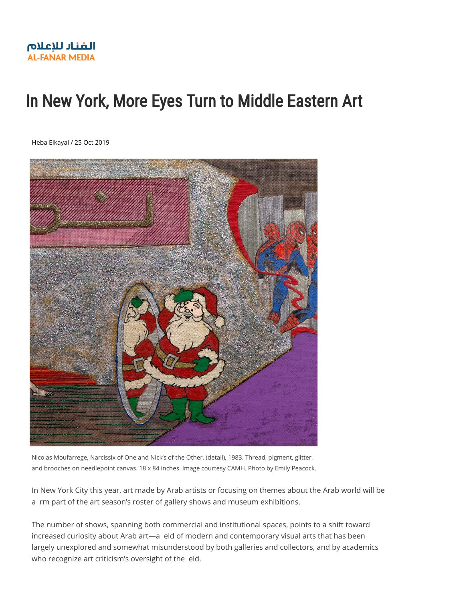# In New York, More Eyes Turn to Middle Eastern Art

[Heba Elkayal / 25 Oct 2019](https://s3.amazonaws.com/media.al-fanarmedia.org/wp-content/uploads/2019/10/25081325/Moufarrege_Image-1.jpeg)



Nicolas Moufarrege, Narcissix of One and Nick's of the Other, (detail), 1983. Thread, pigment, glitter, and brooches on needlepoint canvas. 18 x 84 inches. Image courtesy CAMH. Photo by Emily Peacock.

In New York City this year, art made by Arab artists or focusing on themes about the Arab world will be a rm part of the art season's roster of gallery shows and museum exhibitions.

The number of shows, spanning both commercial and institutional spaces, points to a shift toward increased curiosity about Arab art—a eld of modern and contemporary visual arts that has been largely unexplored and somewhat misunderstood by both galleries and collectors, and by academics who recognize art criticism's oversight of the eld.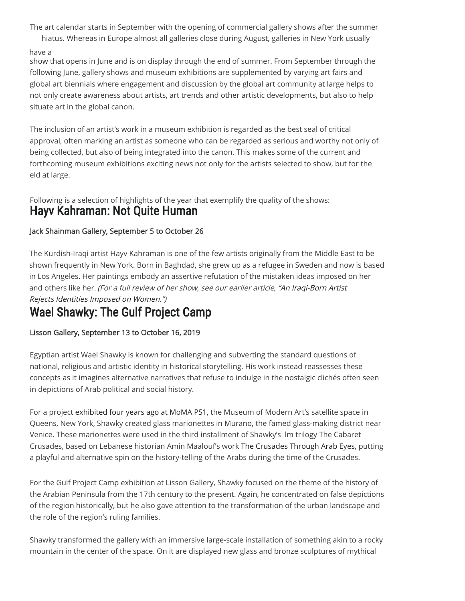The art calendar starts in September with the opening of commercial gallery shows after the summer hiatus. Whereas in Europe almost all galleries close during August, galleries in New York usually

#### have a

show that opens in June and is on display through the end of summer. From September through the following June, gallery shows and museum exhibitions are supplemented by varying art fairs and global art biennials where engagement and discussion by the global art community at large helps to not only create awareness about artists, art trends and other artistic developments, but also to help situate art in the global canon.

The inclusion of an artist's work in a museum exhibition is regarded as the best seal of critical approval, often marking an artist as someone who can be regarded as serious and worthy not only of being collected, but also of being integrated into the canon. This makes some of the current and forthcoming museum exhibitions exciting news not only for the artists selected to show, but for the eld at large.

Following is a selection of highlights of the year that exemplify the quality of the shows: Hayv Kahraman: Not Quite Human

#### Jack Shainman Gallery, September 5 to October 26

The Kurdish-Iraqi artist Hayv Kahraman is one of the few artists originally from the Middle East to be shown frequently in New York. Born in Baghdad, she grew up as a refugee in Sweden and now is based [in Los Angeles. Her paintings embody an assertive refutation of the mistaken ideas imposed on](https://www.al-fanarmedia.org/2019/09/an-iraqi-born-artist-rejects-identities-imposed-on-women/) her and others like her. (For a full review of her show, see our earlier article, "An Iraqi-Born Artist Rejects Identities Imposed on Women.")

### **Wael Shawky: The Gulf Project Camp**

#### Lisson Gallery, September 13 to October 16, 2019

Egyptian artist Wael Shawky is known for challenging and subverting the standard questions of national, religious and artistic identity in historical storytelling. His work instead reassesses these concepts as it imagines alternative narratives that refuse to indulge in the nostalgic clichés often seen in depictions of Arab political and social history.

For a project [exhibited four years ago at MoMA PS1](https://www.moma.org/calendar/exhibitions/3691), the Museum of Modern Art's satellite space in Queens, New York, Shawky created glass marionettes in Murano, the famed glass-making district near Venice. These marionettes were used in the third installment of Shawky's lm trilogy The Cabaret Crusades, based on Lebanese historian Amin Maalouf's work [The Crusades Through Arab Eyes](https://saqibooks.com/books/saqi/the-crusades-through-arab-eyes/), putting a playful and alternative spin on the history-telling of the Arabs during the time of the Crusades.

For the Gulf Project Camp exhibition at Lisson Gallery, Shawky focused on the theme of the history of the Arabian Peninsula from the 17th century to the present. Again, he concentrated on false depictions of the region historically, but he also gave attention to the transformation of the urban landscape and the role of the region's ruling families.

Shawky transformed the gallery with an immersive large-scale installation of something akin to a rocky mountain in the center of the space. On it are displayed new glass and bronze sculptures of mythical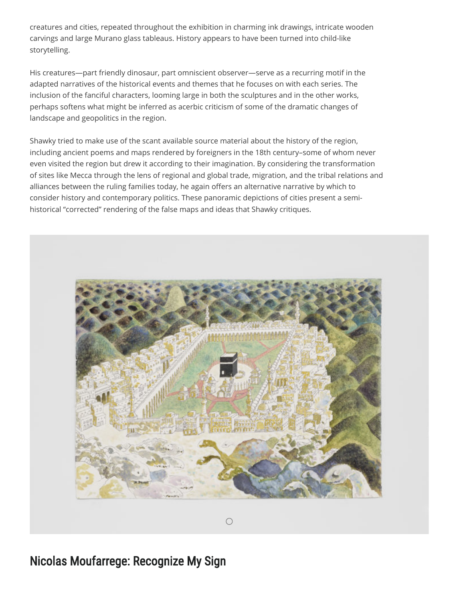creatures and cities, repeated throughout the exhibition in charming ink drawings, intricate wooden carvings and large Murano glass tableaus. History appears to have been turned into child-like storytelling.

His creatures—part friendly dinosaur, part omniscient observer—serve as a recurring motif in the adapted narratives of the historical events and themes that he focuses on with each series. The inclusion of the fanciful characters, looming large in both the sculptures and in the other works, perhaps softens what might be inferred as acerbic criticism of some of the dramatic changes of landscape and geopolitics in the region.

Shawky tried to make use of the scant available source material about the history of the region, including ancient poems and maps rendered by foreigners in the 18th century–some of whom never even visited the region but drew it according to their imagination. By considering the transformation of sites like Mecca through the lens of regional and global trade, migration, and the tribal relations and alliances between the ruling families today, he again offers an alternative narrative by which to consider history and contemporary politics. These panoramic depictions of cities present a semihistorical "corrected" rendering of the false maps and ideas that Shawky critiques.



[Nicolas Moufarrege: Recognize My Sign](https://queensmuseum.org/2019/06/nicolas-moufarrege)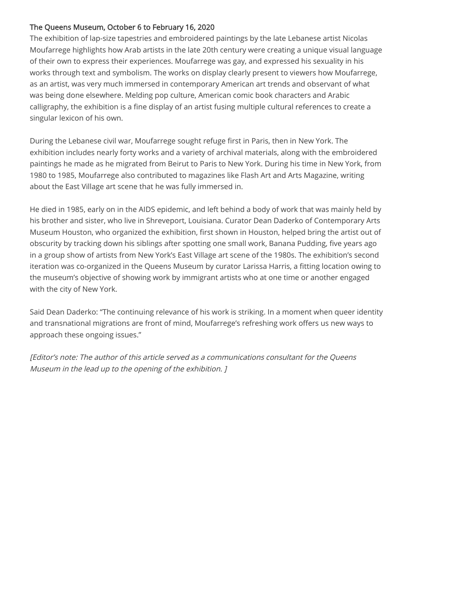#### The Queens Museum, October 6 to February 16, 2020

The exhibition of lap-size tapestries and embroidered paintings by the late Lebanese artist Nicolas Moufarrege highlights how Arab artists in the late 20th century were creating a unique visual language of their own to express their experiences. Moufarrege was gay, and expressed his sexuality in his works through text and symbolism. The works on display clearly present to viewers how Moufarrege, as an artist, was very much immersed in contemporary American art trends and observant of what was being done elsewhere. Melding pop culture, American comic book characters and Arabic calligraphy, the exhibition is a fine display of an artist fusing multiple cultural references to create a singular lexicon of his own.

During the Lebanese civil war, Moufarrege sought refuge first in Paris, then in New York. The exhibition includes nearly forty works and a variety of archival materials, along with the embroidered paintings he made as he migrated from Beirut to Paris to New York. During his time in New York, from 1980 to 1985, Moufarrege also contributed to magazines like Flash Art and Arts Magazine, writing about the East Village art scene that he was fully immersed in.

He died in 1985, early on in the AIDS epidemic, and left behind a body of work that was mainly held by his brother and sister, who live in Shreveport, Louisiana. Curator Dean Daderko of Contemporary Arts Museum Houston, who organized the exhibition, first shown in Houston, helped bring the artist out of obscurity by tracking down his siblings after spotting one small work, Banana Pudding, five years ago in a group show of artists from New York's East Village art scene of the 1980s. The exhibition's second iteration was co-organized in the Queens Museum by curator Larissa Harris, a fitting location owing to the museum's objective of showing work by immigrant artists who at one time or another engaged with the city of New York.

Said Dean Daderko: "The continuing relevance of his work is striking. In a moment when queer identity and transnational migrations are front of mind, Moufarrege's refreshing work offers us new ways to approach these ongoing issues."

[Editor's note: The author of this article served as a communications consultant for the Queens Museum in the lead up to the opening of the exhibition. ]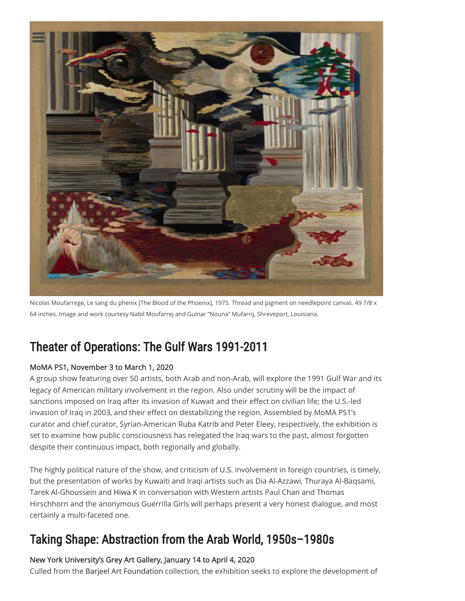

Nicolas Moufarrege, Le sang du phenix [The Blood of the Phoenix], 1975. Thread and pigment on needlepoint canvas. 49 7/8 x 64 inches. Image and work courtesy Nabil Moufarrej and Gulnar "Nouna" Mufarrij, Shreveport, Louisiana.

## [Theater of Operations: The Gulf Wars 1991-2011](https://www.moma.org/calendar/exhibitions/5084)

#### MoMA PS1, November 3 to March 1, 2020

A group show featuring over 50 artists, both Arab and non-Arab, will explore the 1991 Gulf War and its legacy of American military involvement in the region. Also under scrutiny will be the impact of sanctions imposed on Iraq after its invasion of Kuwait and their effect on civilian life; the U.S.-led invasion of Iraq in 2003, and their effect on destabilizing the region. Assembled by MoMA PS1's curator and chief curator, Syrian-American Ruba Katrib and Peter Eleey, respectively, the exhibition is set to examine how public consciousness has relegated the Iraq wars to the past, almost forgotten despite their continuous impact, both regionally and globally.

The highly political nature of the show, and criticism of U.S. involvement in foreign countries, is timely, but the presentation of works by Kuwaiti and Iraqi artists such as Dia Al-Azzawi, Thuraya Al-Baqsami, Tarek Al-Ghoussein and [Hiwa K](https://www.al-fanarmedia.org/2018/08/artists-share-local-histories-of-war-and-exile/) in conversation with Western artists Paul Chan and Thomas Hirschhorn and the anonymous Guerrilla Girls will perhaps present a very honest dialogue, and most certainly a multi-faceted one.

### [Taking Shape: Abstraction from the Arab World, 1950s–1980s](https://greyartgallery.nyu.edu/exhibition/quest-for-the-essence-arab-abstraction-from-the-barjeel-art-foundation-1940s-1980sjanuary-14-april-4-2020/)

#### New York University's Grey Art Gallery, January 14 to April 4, 2020

Culled from the [Barjeel Art Foundation](https://www.barjeelartfoundation.org/) collection, the exhibition seeks to explore the development of